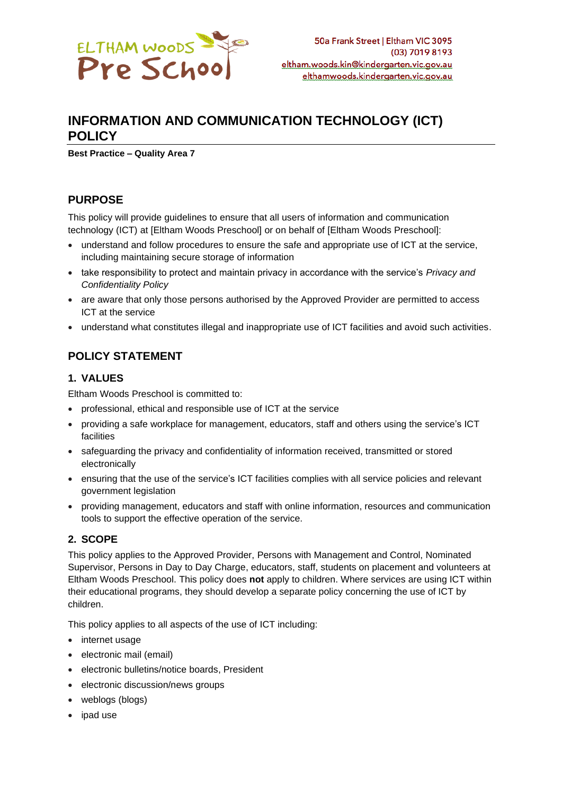

# **INFORMATION AND COMMUNICATION TECHNOLOGY (ICT) POLICY**

**Best Practice – Quality Area 7**

## **PURPOSE**

This policy will provide guidelines to ensure that all users of information and communication technology (ICT) at [Eltham Woods Preschool] or on behalf of [Eltham Woods Preschool]:

- understand and follow procedures to ensure the safe and appropriate use of ICT at the service, including maintaining secure storage of information
- take responsibility to protect and maintain privacy in accordance with the service's *Privacy and Confidentiality Policy*
- are aware that only those persons authorised by the Approved Provider are permitted to access ICT at the service
- understand what constitutes illegal and inappropriate use of ICT facilities and avoid such activities.

## **POLICY STATEMENT**

### **1. VALUES**

Eltham Woods Preschool is committed to:

- professional, ethical and responsible use of ICT at the service
- providing a safe workplace for management, educators, staff and others using the service's ICT facilities
- safeguarding the privacy and confidentiality of information received, transmitted or stored electronically
- ensuring that the use of the service's ICT facilities complies with all service policies and relevant government legislation
- providing management, educators and staff with online information, resources and communication tools to support the effective operation of the service.

### **2. SCOPE**

This policy applies to the Approved Provider, Persons with Management and Control, Nominated Supervisor, Persons in Day to Day Charge, educators, staff, students on placement and volunteers at Eltham Woods Preschool. This policy does **not** apply to children. Where services are using ICT within their educational programs, they should develop a separate policy concerning the use of ICT by children.

This policy applies to all aspects of the use of ICT including:

- internet usage
- electronic mail (email)
- electronic bulletins/notice boards, President
- electronic discussion/news groups
- weblogs (blogs)
- ipad use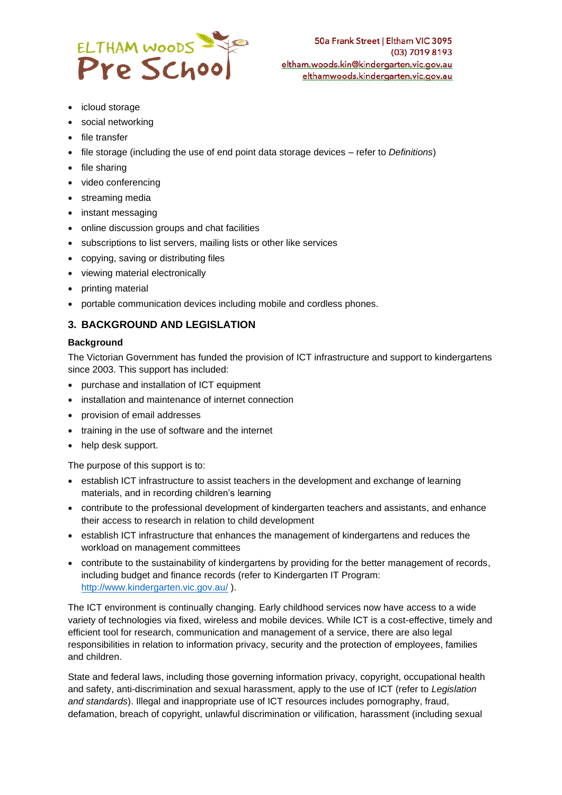

- icloud storage
- social networking
- file transfer
- file storage (including the use of end point data storage devices refer to *Definitions*)
- file sharing
- video conferencing
- streaming media
- instant messaging
- online discussion groups and chat facilities
- subscriptions to list servers, mailing lists or other like services
- copying, saving or distributing files
- viewing material electronically
- printing material
- portable communication devices including mobile and cordless phones.

### **3. BACKGROUND AND LEGISLATION**

#### **Background**

The Victorian Government has funded the provision of ICT infrastructure and support to kindergartens since 2003. This support has included:

- purchase and installation of ICT equipment
- installation and maintenance of internet connection
- provision of email addresses
- training in the use of software and the internet
- help desk support.

The purpose of this support is to:

- establish ICT infrastructure to assist teachers in the development and exchange of learning materials, and in recording children's learning
- contribute to the professional development of kindergarten teachers and assistants, and enhance their access to research in relation to child development
- establish ICT infrastructure that enhances the management of kindergartens and reduces the workload on management committees
- contribute to the sustainability of kindergartens by providing for the better management of records, including budget and finance records (refer to Kindergarten IT Program: <http://www.kindergarten.vic.gov.au/> ).

The ICT environment is continually changing. Early childhood services now have access to a wide variety of technologies via fixed, wireless and mobile devices. While ICT is a cost-effective, timely and efficient tool for research, communication and management of a service, there are also legal responsibilities in relation to information privacy, security and the protection of employees, families and children.

State and federal laws, including those governing information privacy, copyright, occupational health and safety, anti-discrimination and sexual harassment, apply to the use of ICT (refer to *Legislation and standards*). Illegal and inappropriate use of ICT resources includes pornography, fraud, defamation, breach of copyright, unlawful discrimination or vilification, harassment (including sexual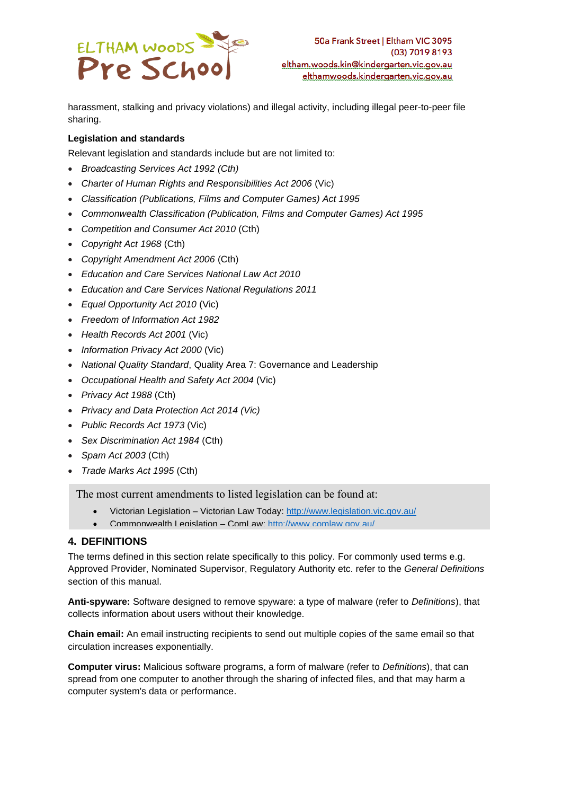

harassment, stalking and privacy violations) and illegal activity, including illegal peer-to-peer file sharing.

#### **Legislation and standards**

Relevant legislation and standards include but are not limited to:

- *Broadcasting Services Act 1992 (Cth)*
- *Charter of Human Rights and Responsibilities Act 2006* (Vic)
- *Classification (Publications, Films and Computer Games) Act 1995*
- *Commonwealth Classification (Publication, Films and Computer Games) Act 1995*
- *Competition and Consumer Act 2010* (Cth)
- *Copyright Act 1968* (Cth)
- *Copyright Amendment Act 2006* (Cth)
- *Education and Care Services National Law Act 2010*
- *Education and Care Services National Regulations 2011*
- *Equal Opportunity Act 2010* (Vic)
- *Freedom of Information Act 1982*
- *Health Records Act 2001* (Vic)
- *Information Privacy Act 2000* (Vic)
- *National Quality Standard*, Quality Area 7: Governance and Leadership
- *Occupational Health and Safety Act 2004* (Vic)
- *Privacy Act 1988* (Cth)
- *Privacy and Data Protection Act 2014 (Vic)*
- *Public Records Act 1973* (Vic)
- *Sex Discrimination Act 1984* (Cth)
- *Spam Act 2003* (Cth)
- *Trade Marks Act 1995* (Cth)

The most current amendments to listed legislation can be found at:

- Victorian Legislation Victorian Law Today:<http://www.legislation.vic.gov.au/>
- Commonwealth Legislation ComLaw:<http://www.comlaw.gov.au/>

### **4. DEFINITIONS**

The terms defined in this section relate specifically to this policy. For commonly used terms e.g. Approved Provider, Nominated Supervisor, Regulatory Authority etc. refer to the *General Definitions* section of this manual.

**Anti-spyware:** Software designed to remove spyware: a type of malware (refer to *Definitions*), that collects information about users without their knowledge.

**Chain email:** An email instructing recipients to send out multiple copies of the same email so that circulation increases exponentially.

**Computer virus:** Malicious software programs, a form of malware (refer to *Definitions*), that can spread from one computer to another through the sharing of infected files, and that may harm a computer system's data or performance.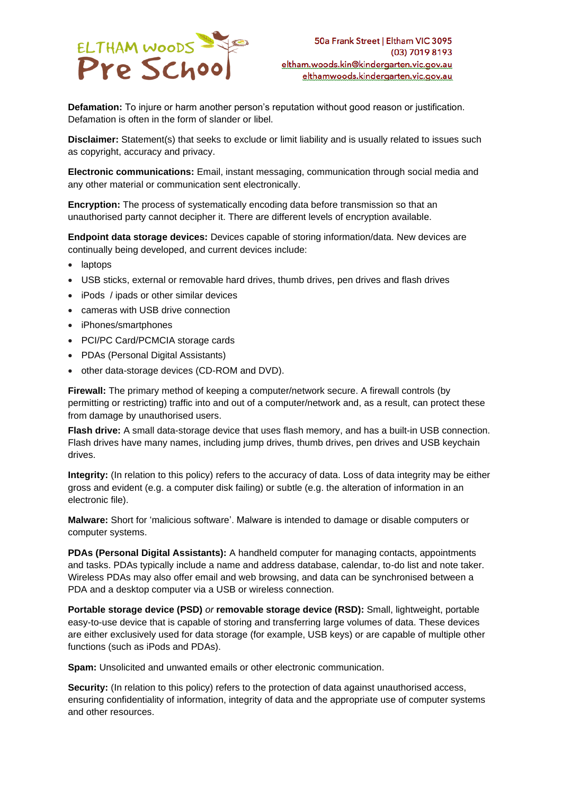

**Defamation:** To injure or harm another person's reputation without good reason or justification. Defamation is often in the form of slander or libel.

**Disclaimer:** Statement(s) that seeks to exclude or limit liability and is usually related to issues such as copyright, accuracy and privacy.

**Electronic communications:** Email, instant messaging, communication through social media and any other material or communication sent electronically.

**Encryption:** The process of systematically encoding data before transmission so that an unauthorised party cannot decipher it. There are different levels of encryption available.

**Endpoint data storage devices:** Devices capable of storing information/data. New devices are continually being developed, and current devices include:

- laptops
- USB sticks, external or removable hard drives, thumb drives, pen drives and flash drives
- iPods / ipads or other similar devices
- cameras with USB drive connection
- iPhones/smartphones
- PCI/PC Card/PCMCIA storage cards
- PDAs (Personal Digital Assistants)
- other data-storage devices (CD-ROM and DVD).

**Firewall:** The primary method of keeping a computer/network secure. A firewall controls (by permitting or restricting) traffic into and out of a computer/network and, as a result, can protect these from damage by unauthorised users.

**Flash drive:** A small data-storage device that uses flash memory, and has a built-in USB connection. Flash drives have many names, including jump drives, thumb drives, pen drives and USB keychain drives.

**Integrity:** (In relation to this policy) refers to the accuracy of data. Loss of data integrity may be either gross and evident (e.g. a computer disk failing) or subtle (e.g. the alteration of information in an electronic file).

**Malware:** Short for 'malicious software'. Malware is intended to damage or disable computers or computer systems.

**PDAs (Personal Digital Assistants):** A handheld computer for managing contacts, appointments and tasks. PDAs typically include a name and address database, calendar, to-do list and note taker. Wireless PDAs may also offer email and web browsing, and data can be synchronised between a PDA and a desktop computer via a USB or wireless connection.

**Portable storage device (PSD)** *or* **removable storage device (RSD):** Small, lightweight, portable easy-to-use device that is capable of storing and transferring large volumes of data. These devices are either exclusively used for data storage (for example, USB keys) or are capable of multiple other functions (such as iPods and PDAs).

**Spam:** Unsolicited and unwanted emails or other electronic communication.

**Security:** (In relation to this policy) refers to the protection of data against unauthorised access, ensuring confidentiality of information, integrity of data and the appropriate use of computer systems and other resources.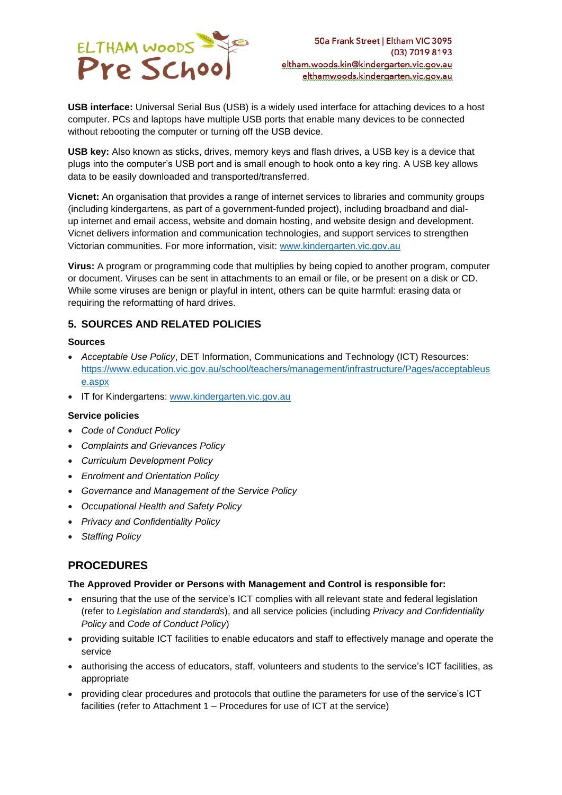

**USB interface:** Universal Serial Bus (USB) is a widely used interface for attaching devices to a host computer. PCs and laptops have multiple USB ports that enable many devices to be connected without rebooting the computer or turning off the USB device.

**USB key:** Also known as sticks, drives, memory keys and flash drives, a USB key is a device that plugs into the computer's USB port and is small enough to hook onto a key ring. A USB key allows data to be easily downloaded and transported/transferred.

**Vicnet:** An organisation that provides a range of internet services to libraries and community groups (including kindergartens, as part of a government-funded project), including broadband and dialup internet and email access, website and domain hosting, and website design and development. Vicnet delivers information and communication technologies, and support services to strengthen Victorian communities. For more information, visit: [www.kindergarten.vic.gov.au](http://www.kindergarten.vic.gov.au/)

**Virus:** A program or programming code that multiplies by being copied to another program, computer or document. Viruses can be sent in attachments to an email or file, or be present on a disk or CD. While some viruses are benign or playful in intent, others can be quite harmful: erasing data or requiring the reformatting of hard drives.

### **5. SOURCES AND RELATED POLICIES**

#### **Sources**

- *Acceptable Use Policy*, DET Information, Communications and Technology (ICT) Resources: [https://www.education.vic.gov.au/school/teachers/management/infrastructure/Pages/acceptableus](https://www.education.vic.gov.au/school/teachers/management/infrastructure/Pages/acceptableuse.aspx) [e.aspx](https://www.education.vic.gov.au/school/teachers/management/infrastructure/Pages/acceptableuse.aspx)
- IT for Kindergartens: [www.kindergarten.vic.gov.au](http://www.kindergarten.vic.gov.au/)

#### **Service policies**

- *Code of Conduct Policy*
- *Complaints and Grievances Policy*
- *Curriculum Development Policy*
- *Enrolment and Orientation Policy*
- *Governance and Management of the Service Policy*
- *Occupational Health and Safety Policy*
- *Privacy and Confidentiality Policy*
- *Staffing Policy*

## **PROCEDURES**

#### **The Approved Provider or Persons with Management and Control is responsible for:**

- ensuring that the use of the service's ICT complies with all relevant state and federal legislation (refer to *Legislation and standards*), and all service policies (including *Privacy and Confidentiality Policy* and *Code of Conduct Policy*)
- providing suitable ICT facilities to enable educators and staff to effectively manage and operate the service
- authorising the access of educators, staff, volunteers and students to the service's ICT facilities, as appropriate
- providing clear procedures and protocols that outline the parameters for use of the service's ICT facilities (refer to Attachment 1 – Procedures for use of ICT at the service)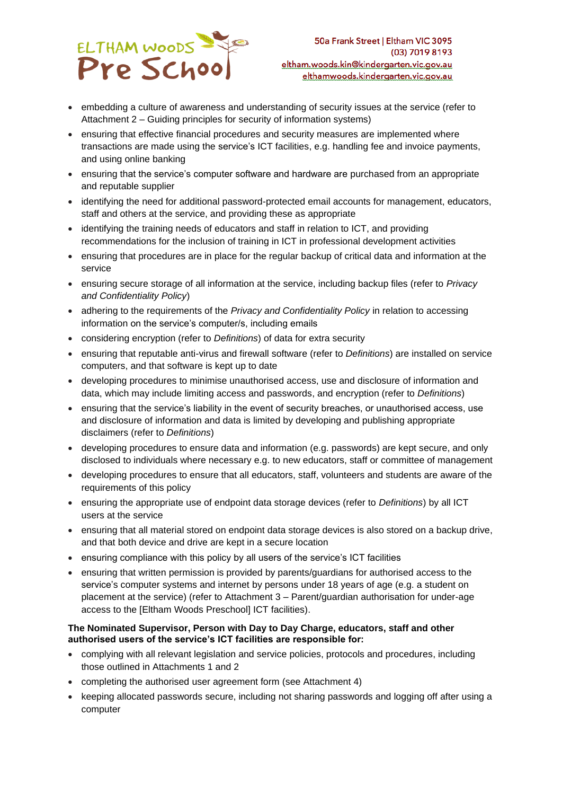

- embedding a culture of awareness and understanding of security issues at the service (refer to Attachment 2 – Guiding principles for security of information systems)
- ensuring that effective financial procedures and security measures are implemented where transactions are made using the service's ICT facilities, e.g. handling fee and invoice payments, and using online banking
- ensuring that the service's computer software and hardware are purchased from an appropriate and reputable supplier
- identifying the need for additional password-protected email accounts for management, educators, staff and others at the service, and providing these as appropriate
- identifying the training needs of educators and staff in relation to ICT, and providing recommendations for the inclusion of training in ICT in professional development activities
- ensuring that procedures are in place for the regular backup of critical data and information at the service
- ensuring secure storage of all information at the service, including backup files (refer to *Privacy and Confidentiality Policy*)
- adhering to the requirements of the *Privacy and Confidentiality Policy* in relation to accessing information on the service's computer/s, including emails
- considering encryption (refer to *Definitions*) of data for extra security
- ensuring that reputable anti-virus and firewall software (refer to *Definitions*) are installed on service computers, and that software is kept up to date
- developing procedures to minimise unauthorised access, use and disclosure of information and data, which may include limiting access and passwords, and encryption (refer to *Definitions*)
- ensuring that the service's liability in the event of security breaches, or unauthorised access, use and disclosure of information and data is limited by developing and publishing appropriate disclaimers (refer to *Definitions*)
- developing procedures to ensure data and information (e.g. passwords) are kept secure, and only disclosed to individuals where necessary e.g. to new educators, staff or committee of management
- developing procedures to ensure that all educators, staff, volunteers and students are aware of the requirements of this policy
- ensuring the appropriate use of endpoint data storage devices (refer to *Definitions*) by all ICT users at the service
- ensuring that all material stored on endpoint data storage devices is also stored on a backup drive, and that both device and drive are kept in a secure location
- ensuring compliance with this policy by all users of the service's ICT facilities
- ensuring that written permission is provided by parents/guardians for authorised access to the service's computer systems and internet by persons under 18 years of age (e.g. a student on placement at the service) (refer to Attachment 3 – Parent/guardian authorisation for under-age access to the [Eltham Woods Preschool] ICT facilities).

#### **The Nominated Supervisor, Person with Day to Day Charge, educators, staff and other authorised users of the service's ICT facilities are responsible for:**

- complying with all relevant legislation and service policies, protocols and procedures, including those outlined in Attachments 1 and 2
- completing the authorised user agreement form (see Attachment 4)
- keeping allocated passwords secure, including not sharing passwords and logging off after using a computer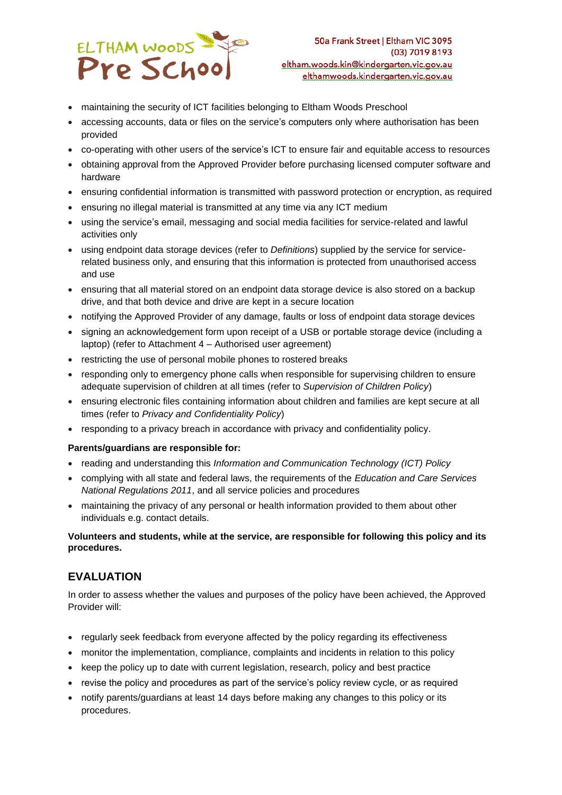

- maintaining the security of ICT facilities belonging to Eltham Woods Preschool
- accessing accounts, data or files on the service's computers only where authorisation has been provided
- co-operating with other users of the service's ICT to ensure fair and equitable access to resources
- obtaining approval from the Approved Provider before purchasing licensed computer software and hardware
- ensuring confidential information is transmitted with password protection or encryption, as required
- ensuring no illegal material is transmitted at any time via any ICT medium
- using the service's email, messaging and social media facilities for service-related and lawful activities only
- using endpoint data storage devices (refer to *Definitions*) supplied by the service for servicerelated business only, and ensuring that this information is protected from unauthorised access and use
- ensuring that all material stored on an endpoint data storage device is also stored on a backup drive, and that both device and drive are kept in a secure location
- notifying the Approved Provider of any damage, faults or loss of endpoint data storage devices
- signing an acknowledgement form upon receipt of a USB or portable storage device (including a laptop) (refer to Attachment 4 – Authorised user agreement)
- restricting the use of personal mobile phones to rostered breaks
- responding only to emergency phone calls when responsible for supervising children to ensure adequate supervision of children at all times (refer to *Supervision of Children Policy*)
- ensuring electronic files containing information about children and families are kept secure at all times (refer to *Privacy and Confidentiality Policy*)
- responding to a privacy breach in accordance with privacy and confidentiality policy.

#### **Parents/guardians are responsible for:**

- reading and understanding this *Information and Communication Technology (ICT) Policy*
- complying with all state and federal laws, the requirements of the *Education and Care Services National Regulations 2011*, and all service policies and procedures
- maintaining the privacy of any personal or health information provided to them about other individuals e.g. contact details.

#### **Volunteers and students, while at the service, are responsible for following this policy and its procedures.**

## **EVALUATION**

In order to assess whether the values and purposes of the policy have been achieved, the Approved Provider will:

- regularly seek feedback from everyone affected by the policy regarding its effectiveness
- monitor the implementation, compliance, complaints and incidents in relation to this policy
- keep the policy up to date with current legislation, research, policy and best practice
- revise the policy and procedures as part of the service's policy review cycle, or as required
- notify parents/guardians at least 14 days before making any changes to this policy or its procedures.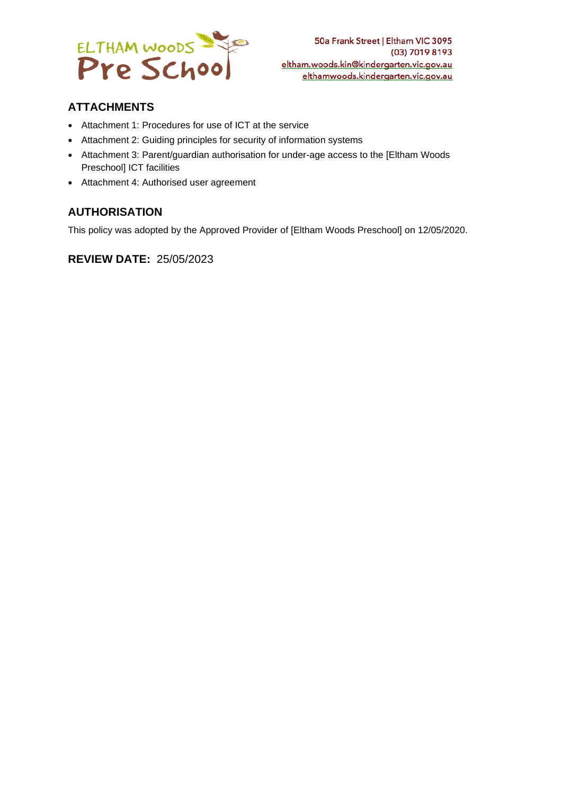

## **ATTACHMENTS**

- Attachment 1: Procedures for use of ICT at the service
- Attachment 2: Guiding principles for security of information systems
- Attachment 3: Parent/guardian authorisation for under-age access to the [Eltham Woods Preschool] ICT facilities
- Attachment 4: Authorised user agreement

## **AUTHORISATION**

This policy was adopted by the Approved Provider of [Eltham Woods Preschool] on 12/05/2020.

### **REVIEW DATE:** 25/05/2023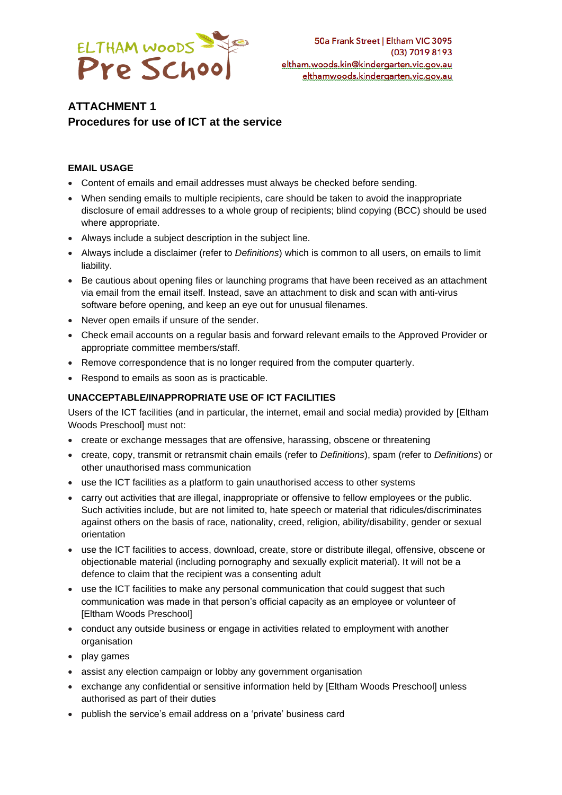

# **ATTACHMENT 1 Procedures for use of ICT at the service**

#### **EMAIL USAGE**

- Content of emails and email addresses must always be checked before sending.
- When sending emails to multiple recipients, care should be taken to avoid the inappropriate disclosure of email addresses to a whole group of recipients; blind copying (BCC) should be used where appropriate.
- Always include a subject description in the subject line.
- Always include a disclaimer (refer to *Definitions*) which is common to all users, on emails to limit liability.
- Be cautious about opening files or launching programs that have been received as an attachment via email from the email itself. Instead, save an attachment to disk and scan with anti-virus software before opening, and keep an eye out for unusual filenames.
- Never open emails if unsure of the sender.
- Check email accounts on a regular basis and forward relevant emails to the Approved Provider or appropriate committee members/staff.
- Remove correspondence that is no longer required from the computer quarterly.
- Respond to emails as soon as is practicable.

#### **UNACCEPTABLE/INAPPROPRIATE USE OF ICT FACILITIES**

Users of the ICT facilities (and in particular, the internet, email and social media) provided by [Eltham Woods Preschool] must not:

- create or exchange messages that are offensive, harassing, obscene or threatening
- create, copy, transmit or retransmit chain emails (refer to *Definitions*), spam (refer to *Definitions*) or other unauthorised mass communication
- use the ICT facilities as a platform to gain unauthorised access to other systems
- carry out activities that are illegal, inappropriate or offensive to fellow employees or the public. Such activities include, but are not limited to, hate speech or material that ridicules/discriminates against others on the basis of race, nationality, creed, religion, ability/disability, gender or sexual orientation
- use the ICT facilities to access, download, create, store or distribute illegal, offensive, obscene or objectionable material (including pornography and sexually explicit material). It will not be a defence to claim that the recipient was a consenting adult
- use the ICT facilities to make any personal communication that could suggest that such communication was made in that person's official capacity as an employee or volunteer of [Eltham Woods Preschool]
- conduct any outside business or engage in activities related to employment with another organisation
- play games
- assist any election campaign or lobby any government organisation
- exchange any confidential or sensitive information held by [Eltham Woods Preschool] unless authorised as part of their duties
- publish the service's email address on a 'private' business card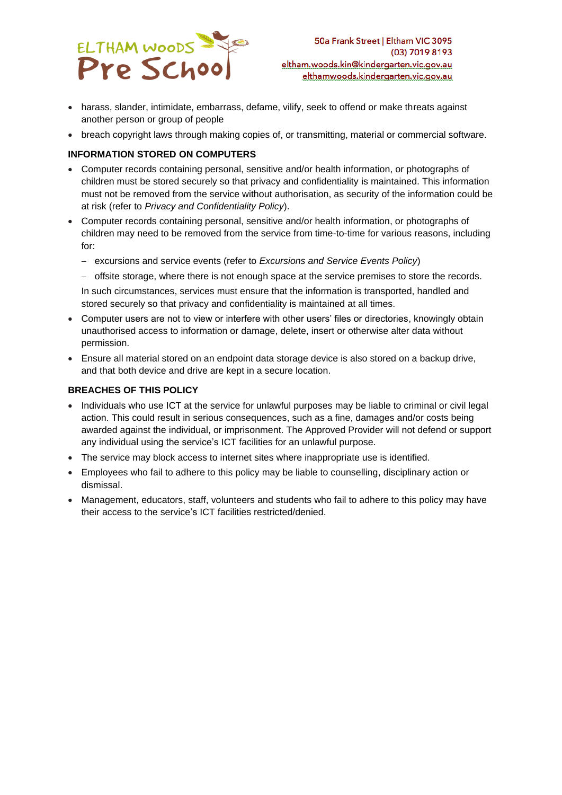

- harass, slander, intimidate, embarrass, defame, vilify, seek to offend or make threats against another person or group of people
- breach copyright laws through making copies of, or transmitting, material or commercial software.

#### **INFORMATION STORED ON COMPUTERS**

- Computer records containing personal, sensitive and/or health information, or photographs of children must be stored securely so that privacy and confidentiality is maintained. This information must not be removed from the service without authorisation, as security of the information could be at risk (refer to *Privacy and Confidentiality Policy*).
- Computer records containing personal, sensitive and/or health information, or photographs of children may need to be removed from the service from time-to-time for various reasons, including for:
	- − excursions and service events (refer to *Excursions and Service Events Policy*)
	- − offsite storage, where there is not enough space at the service premises to store the records.

In such circumstances, services must ensure that the information is transported, handled and stored securely so that privacy and confidentiality is maintained at all times.

- Computer users are not to view or interfere with other users' files or directories, knowingly obtain unauthorised access to information or damage, delete, insert or otherwise alter data without permission.
- Ensure all material stored on an endpoint data storage device is also stored on a backup drive, and that both device and drive are kept in a secure location.

#### **BREACHES OF THIS POLICY**

- Individuals who use ICT at the service for unlawful purposes may be liable to criminal or civil legal action. This could result in serious consequences, such as a fine, damages and/or costs being awarded against the individual, or imprisonment. The Approved Provider will not defend or support any individual using the service's ICT facilities for an unlawful purpose.
- The service may block access to internet sites where inappropriate use is identified.
- Employees who fail to adhere to this policy may be liable to counselling, disciplinary action or dismissal.
- Management, educators, staff, volunteers and students who fail to adhere to this policy may have their access to the service's ICT facilities restricted/denied.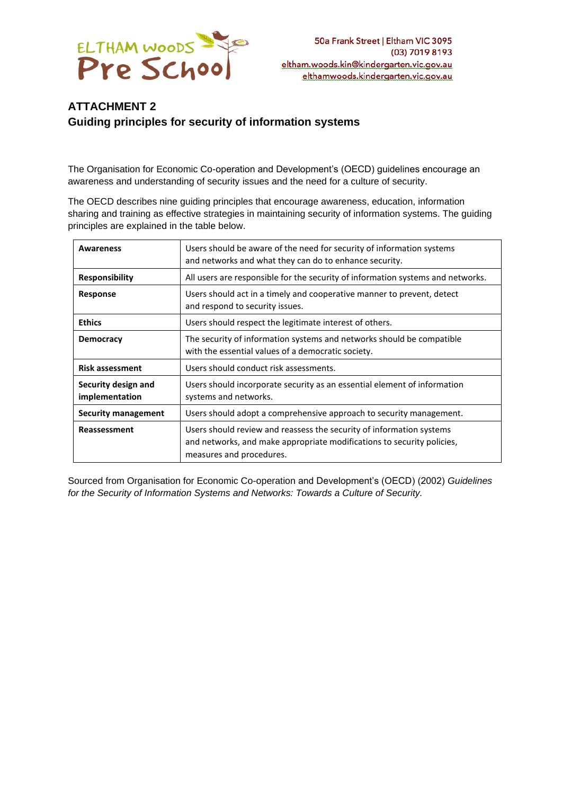

## **ATTACHMENT 2 Guiding principles for security of information systems**

The Organisation for Economic Co-operation and Development's (OECD) guidelines encourage an awareness and understanding of security issues and the need for a culture of security.

The OECD describes nine guiding principles that encourage awareness, education, information sharing and training as effective strategies in maintaining security of information systems. The guiding principles are explained in the table below.

| Awareness                             | Users should be aware of the need for security of information systems<br>and networks and what they can do to enhance security.                                            |  |
|---------------------------------------|----------------------------------------------------------------------------------------------------------------------------------------------------------------------------|--|
| <b>Responsibility</b>                 | All users are responsible for the security of information systems and networks.                                                                                            |  |
| <b>Response</b>                       | Users should act in a timely and cooperative manner to prevent, detect<br>and respond to security issues.                                                                  |  |
| <b>Ethics</b>                         | Users should respect the legitimate interest of others.                                                                                                                    |  |
| <b>Democracy</b>                      | The security of information systems and networks should be compatible<br>with the essential values of a democratic society.                                                |  |
| <b>Risk assessment</b>                | Users should conduct risk assessments.                                                                                                                                     |  |
| Security design and<br>implementation | Users should incorporate security as an essential element of information<br>systems and networks.                                                                          |  |
| Security management                   | Users should adopt a comprehensive approach to security management.                                                                                                        |  |
| Reassessment                          | Users should review and reassess the security of information systems<br>and networks, and make appropriate modifications to security policies,<br>measures and procedures. |  |

Sourced from Organisation for Economic Co-operation and Development's (OECD) (2002) *Guidelines for the Security of Information Systems and Networks: Towards a Culture of Security.*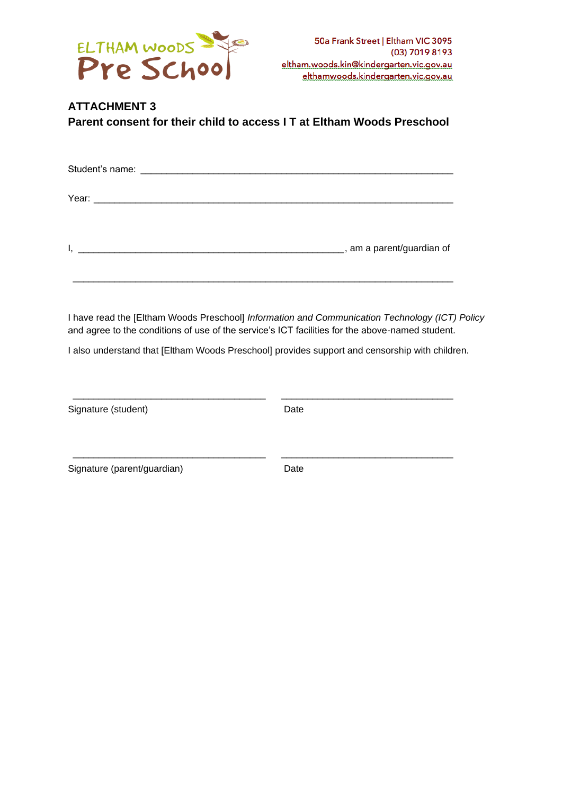

# **ATTACHMENT 3 Parent consent for their child to access I T at Eltham Woods Preschool**

 $\_$  ,  $\_$  ,  $\_$  ,  $\_$  ,  $\_$  ,  $\_$  ,  $\_$  ,  $\_$  ,  $\_$  ,  $\_$  ,  $\_$  ,  $\_$  ,  $\_$  ,  $\_$  ,  $\_$  ,  $\_$  ,  $\_$  ,  $\_$  ,  $\_$  ,  $\_$  ,  $\_$  ,  $\_$  ,  $\_$  ,  $\_$  ,  $\_$  ,  $\_$  ,  $\_$  ,  $\_$  ,  $\_$  ,  $\_$  ,  $\_$  ,  $\_$  ,  $\_$  ,  $\_$  ,  $\_$  ,  $\_$  ,  $\_$  ,

I have read the [Eltham Woods Preschool] *Information and Communication Technology (ICT) Policy* and agree to the conditions of use of the service's ICT facilities for the above-named student.

I also understand that [Eltham Woods Preschool] provides support and censorship with children.

| Signature (student)         | Date |  |
|-----------------------------|------|--|
| Signature (parent/guardian) | Date |  |